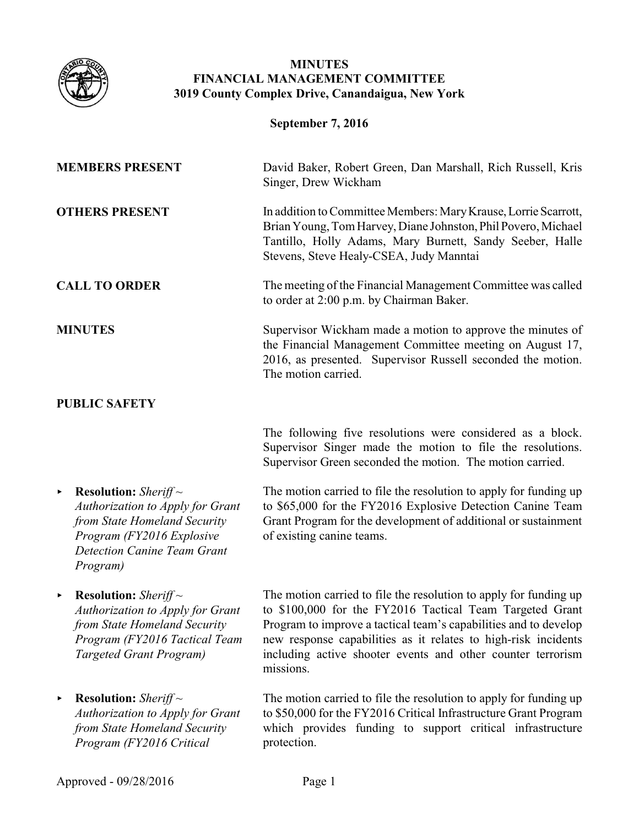

## **MINUTES FINANCIAL MANAGEMENT COMMITTEE 3019 County Complex Drive, Canandaigua, New York**

| <b>September 7, 2016</b>                                                                                                                                                                  |                                                                                                                                                                                                                                                                                                                                                 |  |
|-------------------------------------------------------------------------------------------------------------------------------------------------------------------------------------------|-------------------------------------------------------------------------------------------------------------------------------------------------------------------------------------------------------------------------------------------------------------------------------------------------------------------------------------------------|--|
| <b>MEMBERS PRESENT</b>                                                                                                                                                                    | David Baker, Robert Green, Dan Marshall, Rich Russell, Kris<br>Singer, Drew Wickham                                                                                                                                                                                                                                                             |  |
| <b>OTHERS PRESENT</b>                                                                                                                                                                     | In addition to Committee Members: Mary Krause, Lorrie Scarrott,<br>Brian Young, Tom Harvey, Diane Johnston, Phil Povero, Michael<br>Tantillo, Holly Adams, Mary Burnett, Sandy Seeber, Halle<br>Stevens, Steve Healy-CSEA, Judy Manntai                                                                                                         |  |
| <b>CALL TO ORDER</b>                                                                                                                                                                      | The meeting of the Financial Management Committee was called<br>to order at 2:00 p.m. by Chairman Baker.                                                                                                                                                                                                                                        |  |
| <b>MINUTES</b>                                                                                                                                                                            | Supervisor Wickham made a motion to approve the minutes of<br>the Financial Management Committee meeting on August 17,<br>2016, as presented. Supervisor Russell seconded the motion.<br>The motion carried.                                                                                                                                    |  |
| <b>PUBLIC SAFETY</b>                                                                                                                                                                      |                                                                                                                                                                                                                                                                                                                                                 |  |
|                                                                                                                                                                                           | The following five resolutions were considered as a block.<br>Supervisor Singer made the motion to file the resolutions.<br>Supervisor Green seconded the motion. The motion carried.                                                                                                                                                           |  |
| <b>Resolution:</b> Sheriff $\sim$<br>▶<br>Authorization to Apply for Grant<br>from State Homeland Security<br>Program (FY2016 Explosive<br><b>Detection Canine Team Grant</b><br>Program) | The motion carried to file the resolution to apply for funding up<br>to \$65,000 for the FY2016 Explosive Detection Canine Team<br>Grant Program for the development of additional or sustainment<br>of existing canine teams.                                                                                                                  |  |
| <b>Resolution:</b> Sheriff $\sim$<br>▶<br><b>Authorization to Apply for Grant</b><br>from State Homeland Security<br>Program (FY2016 Tactical Team<br>Targeted Grant Program)             | The motion carried to file the resolution to apply for funding up<br>to \$100,000 for the FY2016 Tactical Team Targeted Grant<br>Program to improve a tactical team's capabilities and to develop<br>new response capabilities as it relates to high-risk incidents<br>including active shooter events and other counter terrorism<br>missions. |  |
| <b>Resolution:</b> Sheriff $\sim$<br>▶<br><b>Authorization to Apply for Grant</b><br>from State Homeland Security<br>Program (FY2016 Critical                                             | The motion carried to file the resolution to apply for funding up<br>to \$50,000 for the FY2016 Critical Infrastructure Grant Program<br>which provides funding to support critical infrastructure<br>protection.                                                                                                                               |  |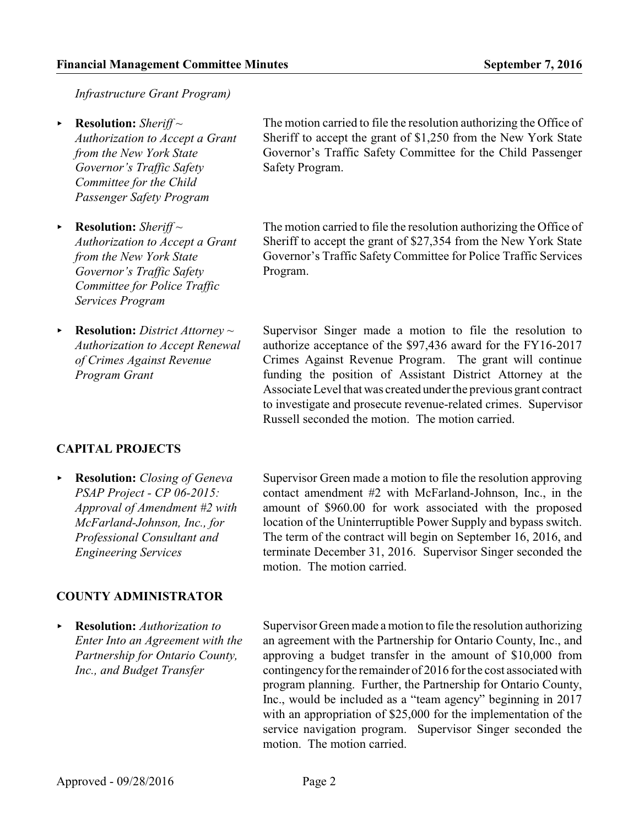*Infrastructure Grant Program)*

- ▶ **Resolution:** *Sheriff* ~ *Authorization to Accept a Grant from the New York State Governor's Traffic Safety Committee for the Child Passenger Safety Program*
- ▶ **Resolution:** *Sheriff* ~ *Authorization to Accept a Grant from the New York State Governor's Traffic Safety Committee for Police Traffic Services Program*
- < **Resolution:** *District Attorney ~ Authorization to Accept Renewal of Crimes Against Revenue Program Grant*

# **CAPITAL PROJECTS**

< **Resolution:** *Closing of Geneva PSAP Project - CP 06-2015: Approval of Amendment #2 with McFarland-Johnson, Inc., for Professional Consultant and Engineering Services*

## **COUNTY ADMINISTRATOR**

< **Resolution:** *Authorization to Enter Into an Agreement with the Partnership for Ontario County, Inc., and Budget Transfer*

The motion carried to file the resolution authorizing the Office of Sheriff to accept the grant of \$1,250 from the New York State Governor's Traffic Safety Committee for the Child Passenger Safety Program.

The motion carried to file the resolution authorizing the Office of Sheriff to accept the grant of \$27,354 from the New York State Governor's Traffic SafetyCommittee for Police Traffic Services Program.

Supervisor Singer made a motion to file the resolution to authorize acceptance of the \$97,436 award for the FY16-2017 Crimes Against Revenue Program. The grant will continue funding the position of Assistant District Attorney at the Associate Level that was created underthe previous grant contract to investigate and prosecute revenue-related crimes. Supervisor Russell seconded the motion. The motion carried.

Supervisor Green made a motion to file the resolution approving contact amendment #2 with McFarland-Johnson, Inc., in the amount of \$960.00 for work associated with the proposed location of the Uninterruptible Power Supply and bypass switch. The term of the contract will begin on September 16, 2016, and terminate December 31, 2016. Supervisor Singer seconded the motion. The motion carried.

Supervisor Green made a motion to file the resolution authorizing an agreement with the Partnership for Ontario County, Inc., and approving a budget transfer in the amount of \$10,000 from contingency for the remainder of 2016 for the cost associated with program planning. Further, the Partnership for Ontario County, Inc., would be included as a "team agency" beginning in 2017 with an appropriation of \$25,000 for the implementation of the service navigation program. Supervisor Singer seconded the motion. The motion carried.